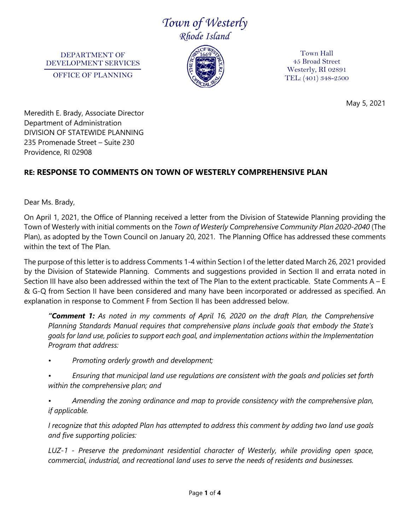## *Town of Westerly Rhode Island*

DEPARTMENT OF DEVELOPMENT SERVICES OFFICE OF PLANNING



Town Hall 45 Broad Street Westerly, RI 02891 TEL: (401) 348-2500

May 5, 2021

Meredith E. Brady, Associate Director Department of Administration DIVISION OF STATEWIDE PLANNING 235 Promenade Street – Suite 230 Providence, RI 02908

## **RE: RESPONSE TO COMMENTS ON TOWN OF WESTERLY COMPREHENSIVE PLAN**

Dear Ms. Brady,

On April 1, 2021, the Office of Planning received a letter from the Division of Statewide Planning providing the Town of Westerly with initial comments on the *Town of Westerly Comprehensive Community Plan 2020-2040* (The Plan), as adopted by the Town Council on January 20, 2021. The Planning Office has addressed these comments within the text of The Plan.

The purpose of this letter is to address Comments 1-4 within Section I of the letter dated March 26, 2021 provided by the Division of Statewide Planning. Comments and suggestions provided in Section II and errata noted in Section III have also been addressed within the text of The Plan to the extent practicable. State Comments A – E & G-Q from Section II have been considered and many have been incorporated or addressed as specified. An explanation in response to Comment F from Section II has been addressed below.

*"Comment 1: As noted in my comments of April 16, 2020 on the draft Plan, the Comprehensive Planning Standards Manual requires that comprehensive plans include goals that embody the State's goals for land use, policies to support each goal, and implementation actions within the Implementation Program that address:*

*• Promoting orderly growth and development;*

*• Ensuring that municipal land use regulations are consistent with the goals and policies set forth within the comprehensive plan; and*

*• Amending the zoning ordinance and map to provide consistency with the comprehensive plan, if applicable.*

*I recognize that this adopted Plan has attempted to address this comment by adding two land use goals and five supporting policies:*

*LUZ-1 - Preserve the predominant residential character of Westerly, while providing open space, commercial, industrial, and recreational land uses to serve the needs of residents and businesses.*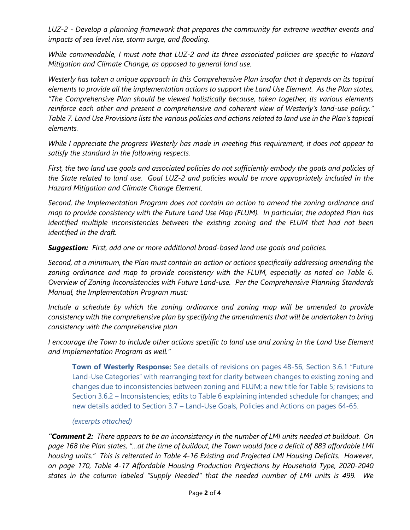*LUZ-2 - Develop a planning framework that prepares the community for extreme weather events and impacts of sea level rise, storm surge, and flooding.* 

*While commendable, I must note that LUZ-2 and its three associated policies are specific to Hazard Mitigation and Climate Change, as opposed to general land use.* 

*Westerly has taken a unique approach in this Comprehensive Plan insofar that it depends on its topical elements to provide all the implementation actions to support the Land Use Element. As the Plan states, "The Comprehensive Plan should be viewed holistically because, taken together, its various elements reinforce each other and present a comprehensive and coherent view of Westerly's land-use policy." Table 7. Land Use Provisions lists the various policies and actions related to land use in the Plan's topical elements.*

*While I appreciate the progress Westerly has made in meeting this requirement, it does not appear to satisfy the standard in the following respects.*

*First, the two land use goals and associated policies do not sufficiently embody the goals and policies of the State related to land use. Goal LUZ-2 and policies would be more appropriately included in the Hazard Mitigation and Climate Change Element.*

*Second, the Implementation Program does not contain an action to amend the zoning ordinance and map to provide consistency with the Future Land Use Map (FLUM). In particular, the adopted Plan has identified multiple inconsistencies between the existing zoning and the FLUM that had not been identified in the draft.*

*Suggestion: First, add one or more additional broad-based land use goals and policies.*

*Second, at a minimum, the Plan must contain an action or actions specifically addressing amending the*  zoning ordinance and map to provide consistency with the FLUM, especially as noted on Table 6. *Overview of Zoning Inconsistencies with Future Land-use. Per the Comprehensive Planning Standards Manual, the Implementation Program must:* 

*Include a schedule by which the zoning ordinance and zoning map will be amended to provide consistency with the comprehensive plan by specifying the amendments that will be undertaken to bring consistency with the comprehensive plan*

*I* encourage the Town to include other actions specific to land use and zoning in the Land Use Element *and Implementation Program as well."*

**Town of Westerly Response:** See details of revisions on pages 48-56, Section 3.6.1 "Future Land-Use Categories" with rearranging text for clarity between changes to existing zoning and changes due to inconsistencies between zoning and FLUM; a new title for Table 5; revisions to Section 3.6.2 – Inconsistencies; edits to Table 6 explaining intended schedule for changes; and new details added to Section 3.7 – Land-Use Goals, Policies and Actions on pages 64-65.

## *(excerpts attached)*

*"Comment 2: There appears to be an inconsistency in the number of LMI units needed at buildout. On page 168 the Plan states, "…at the time of buildout, the Town would face a deficit of 883 affordable LMI housing units." This is reiterated in Table 4-16 Existing and Projected LMI Housing Deficits. However, on page 170, Table 4-17 Affordable Housing Production Projections by Household Type, 2020-2040 states in the column labeled "Supply Needed" that the needed number of LMI units is 499. We*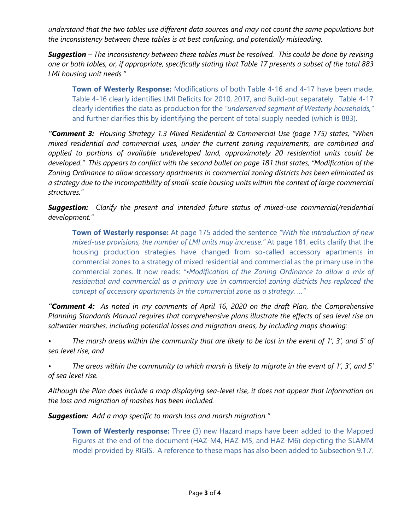*understand that the two tables use different data sources and may not count the same populations but the inconsistency between these tables is at best confusing, and potentially misleading.*

*Suggestion – The inconsistency between these tables must be resolved. This could be done by revising one or both tables, or, if appropriate, specifically stating that Table 17 presents a subset of the total 883 LMI housing unit needs."*

**Town of Westerly Response:** Modifications of both Table 4-16 and 4-17 have been made. Table 4-16 clearly identifies LMI Deficits for 2010, 2017, and Build-out separately. Table 4-17 clearly identifies the data as production for the *"underserved segment of Westerly households,"* and further clarifies this by identifying the percent of total supply needed (which is 883).

*"Comment 3: Housing Strategy 1.3 Mixed Residential & Commercial Use (page 175) states, "When mixed residential and commercial uses, under the current zoning requirements, are combined and applied to portions of available undeveloped land, approximately 20 residential units could be developed." This appears to conflict with the second bullet on page 181 that states, "Modification of the Zoning Ordinance to allow accessory apartments in commercial zoning districts has been eliminated as a strategy due to the incompatibility of small-scale housing units within the context of large commercial structures."*

*Suggestion: Clarify the present and intended future status of mixed-use commercial/residential development."*

**Town of Westerly response:** At page 175 added the sentence *"With the introduction of new mixed-use provisions, the number of LMI units may increase."* At page 181, edits clarify that the housing production strategies have changed from so-called accessory apartments in commercial zones to a strategy of mixed residential and commercial as the primary use in the commercial zones. It now reads: *"•Modification of the Zoning Ordinance to allow a mix of residential and commercial as a primary use in commercial zoning districts has replaced the concept of accessory apartments in the commercial zone as a strategy. …"*

*"Comment 4: As noted in my comments of April 16, 2020 on the draft Plan, the Comprehensive Planning Standards Manual requires that comprehensive plans illustrate the effects of sea level rise on saltwater marshes, including potential losses and migration areas, by including maps showing:*

*• The marsh areas within the community that are likely to be lost in the event of 1', 3', and 5' of sea level rise, and*

*• The areas within the community to which marsh is likely to migrate in the event of 1', 3', and 5' of sea level rise.* 

*Although the Plan does include a map displaying sea-level rise, it does not appear that information on the loss and migration of mashes has been included.*

*Suggestion: Add a map specific to marsh loss and marsh migration."*

**Town of Westerly response:** Three (3) new Hazard maps have been added to the Mapped Figures at the end of the document (HAZ-M4, HAZ-M5, and HAZ-M6) depicting the SLAMM model provided by RIGIS. A reference to these maps has also been added to Subsection 9.1.7.